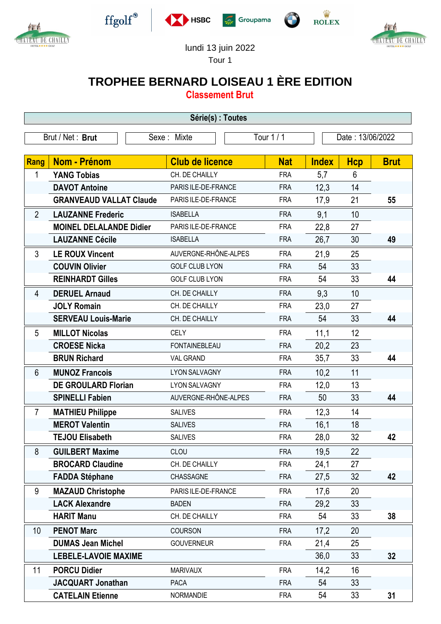



 $\operatorname{ffgolf}^{\circledast}$ 







## lundi 13 juin 2022

Tour 1

## **TROPHEE BERNARD LOISEAU 1 ÈRE EDITION**

**Classement Brut**

| Série(s) : Toutes |                                |                        |            |              |                  |             |  |  |  |  |
|-------------------|--------------------------------|------------------------|------------|--------------|------------------|-------------|--|--|--|--|
| Brut / Net: Brut  |                                | Sexe: Mixte            | Tour 1 / 1 |              | Date: 13/06/2022 |             |  |  |  |  |
|                   |                                |                        |            |              |                  |             |  |  |  |  |
| Rang              | <b>Nom - Prénom</b>            | <b>Club de licence</b> | <b>Nat</b> | <b>Index</b> | <b>Hcp</b>       | <b>Brut</b> |  |  |  |  |
| 1                 | <b>YANG Tobias</b>             | CH. DE CHAILLY         | <b>FRA</b> | 5,7          | 6                |             |  |  |  |  |
|                   | <b>DAVOT Antoine</b>           | PARIS ILE-DE-FRANCE    | <b>FRA</b> | 12,3         | 14               |             |  |  |  |  |
|                   | <b>GRANVEAUD VALLAT Claude</b> | PARIS ILE-DE-FRANCE    | <b>FRA</b> | 17,9         | 21               | 55          |  |  |  |  |
| $\overline{2}$    | <b>LAUZANNE Frederic</b>       | <b>ISABELLA</b>        | <b>FRA</b> | 9,1          | 10               |             |  |  |  |  |
|                   | <b>MOINEL DELALANDE Didier</b> | PARIS ILE-DE-FRANCE    | <b>FRA</b> | 22,8         | 27               |             |  |  |  |  |
|                   | <b>LAUZANNE Cécile</b>         | <b>ISABELLA</b>        | <b>FRA</b> | 26,7         | 30               | 49          |  |  |  |  |
| 3                 | <b>LE ROUX Vincent</b>         | AUVERGNE-RHÔNE-ALPES   | <b>FRA</b> | 21,9         | 25               |             |  |  |  |  |
|                   | <b>COUVIN Olivier</b>          | <b>GOLF CLUB LYON</b>  | <b>FRA</b> | 54           | 33               |             |  |  |  |  |
|                   | <b>REINHARDT Gilles</b>        | <b>GOLF CLUB LYON</b>  | <b>FRA</b> | 54           | 33               | 44          |  |  |  |  |
| 4                 | <b>DERUEL Arnaud</b>           | CH. DE CHAILLY         | <b>FRA</b> | 9,3          | 10               |             |  |  |  |  |
|                   | <b>JOLY Romain</b>             | CH. DE CHAILLY         | <b>FRA</b> | 23,0         | 27               |             |  |  |  |  |
|                   | <b>SERVEAU Louis-Marie</b>     | CH. DE CHAILLY         | <b>FRA</b> | 54           | 33               | 44          |  |  |  |  |
| 5                 | <b>MILLOT Nicolas</b>          | <b>CELY</b>            | <b>FRA</b> | 11,1         | 12               |             |  |  |  |  |
|                   | <b>CROESE Nicka</b>            | <b>FONTAINEBLEAU</b>   | <b>FRA</b> | 20,2         | 23               |             |  |  |  |  |
|                   | <b>BRUN Richard</b>            | <b>VAL GRAND</b>       | <b>FRA</b> | 35,7         | 33               | 44          |  |  |  |  |
| 6                 | <b>MUNOZ Francois</b>          | <b>LYON SALVAGNY</b>   | <b>FRA</b> | 10,2         | 11               |             |  |  |  |  |
|                   | <b>DE GROULARD Florian</b>     | <b>LYON SALVAGNY</b>   | <b>FRA</b> | 12,0         | 13               |             |  |  |  |  |
|                   | <b>SPINELLI Fabien</b>         | AUVERGNE-RHÔNE-ALPES   | <b>FRA</b> | 50           | 33               | 44          |  |  |  |  |
| $\overline{7}$    | <b>MATHIEU Philippe</b>        | <b>SALIVES</b>         | <b>FRA</b> | 12,3         | 14               |             |  |  |  |  |
|                   | <b>MEROT Valentin</b>          | <b>SALIVES</b>         | <b>FRA</b> | 16,1         | 18               |             |  |  |  |  |
|                   | <b>TEJOU Elisabeth</b>         | <b>SALIVES</b>         | <b>FRA</b> | 28,0         | 32               | 42          |  |  |  |  |
| 8                 | <b>GUILBERT Maxime</b>         | CLOU                   | <b>FRA</b> | 19,5         | 22               |             |  |  |  |  |
|                   | <b>BROCARD Claudine</b>        | CH. DE CHAILLY         | <b>FRA</b> | 24,1         | 27               |             |  |  |  |  |
|                   | <b>FADDA Stéphane</b>          | CHASSAGNE              | <b>FRA</b> | 27,5         | 32               | 42          |  |  |  |  |
| 9                 | <b>MAZAUD Christophe</b>       | PARIS ILE-DE-FRANCE    | <b>FRA</b> | 17,6         | 20               |             |  |  |  |  |
|                   | <b>LACK Alexandre</b>          | <b>BADEN</b>           | <b>FRA</b> | 29,2         | 33               |             |  |  |  |  |
|                   | <b>HARIT Manu</b>              | CH. DE CHAILLY         | <b>FRA</b> | 54           | 33               | 38          |  |  |  |  |
| 10                | <b>PENOT Marc</b>              | COURSON                | <b>FRA</b> | 17,2         | 20               |             |  |  |  |  |
|                   | <b>DUMAS Jean Michel</b>       | <b>GOUVERNEUR</b>      | <b>FRA</b> | 21,4         | 25               |             |  |  |  |  |
|                   | <b>LEBELE-LAVOIE MAXIME</b>    |                        |            | 36,0         | 33               | 32          |  |  |  |  |
| 11                | <b>PORCU Didier</b>            | <b>MARIVAUX</b>        | <b>FRA</b> | 14,2         | 16               |             |  |  |  |  |
|                   | <b>JACQUART Jonathan</b>       | <b>PACA</b>            | <b>FRA</b> | 54           | 33               |             |  |  |  |  |
|                   | <b>CATELAIN Etienne</b>        | <b>NORMANDIE</b>       | <b>FRA</b> | 54           | 33               | 31          |  |  |  |  |